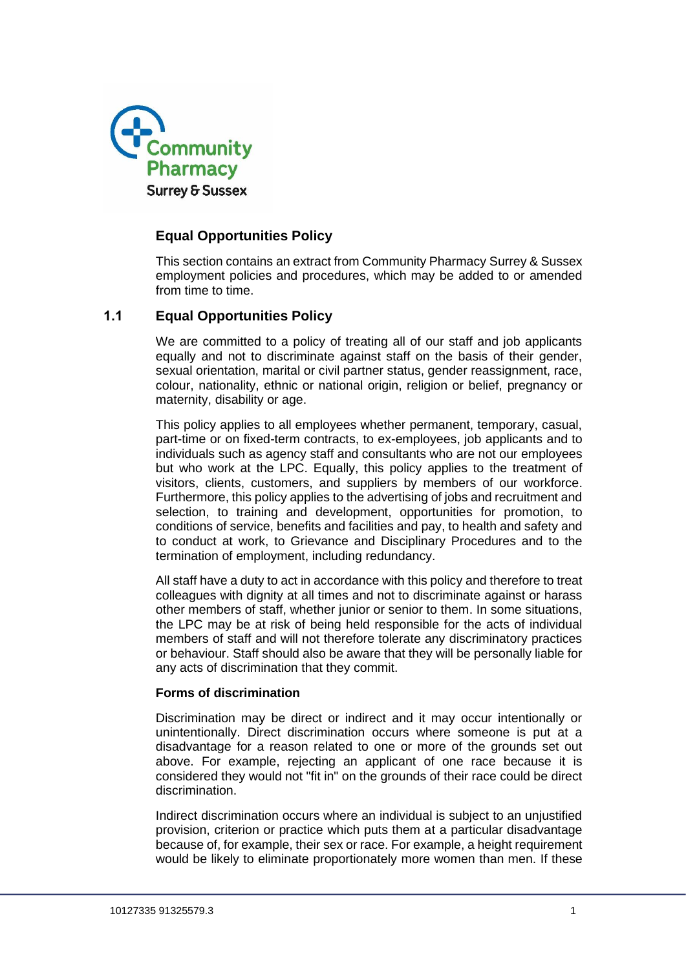

# **Equal Opportunities Policy**

This section contains an extract from Community Pharmacy Surrey & Sussex employment policies and procedures, which may be added to or amended from time to time.

# **1.1 Equal Opportunities Policy**

We are committed to a policy of treating all of our staff and job applicants equally and not to discriminate against staff on the basis of their gender, sexual orientation, marital or civil partner status, gender reassignment, race, colour, nationality, ethnic or national origin, religion or belief, pregnancy or maternity, disability or age.

This policy applies to all employees whether permanent, temporary, casual, part-time or on fixed-term contracts, to ex-employees, job applicants and to individuals such as agency staff and consultants who are not our employees but who work at the LPC. Equally, this policy applies to the treatment of visitors, clients, customers, and suppliers by members of our workforce. Furthermore, this policy applies to the advertising of jobs and recruitment and selection, to training and development, opportunities for promotion, to conditions of service, benefits and facilities and pay, to health and safety and to conduct at work, to Grievance and Disciplinary Procedures and to the termination of employment, including redundancy.

All staff have a duty to act in accordance with this policy and therefore to treat colleagues with dignity at all times and not to discriminate against or harass other members of staff, whether junior or senior to them. In some situations, the LPC may be at risk of being held responsible for the acts of individual members of staff and will not therefore tolerate any discriminatory practices or behaviour. Staff should also be aware that they will be personally liable for any acts of discrimination that they commit.

## **Forms of discrimination**

Discrimination may be direct or indirect and it may occur intentionally or unintentionally. Direct discrimination occurs where someone is put at a disadvantage for a reason related to one or more of the grounds set out above. For example, rejecting an applicant of one race because it is considered they would not "fit in" on the grounds of their race could be direct discrimination.

Indirect discrimination occurs where an individual is subject to an unjustified provision, criterion or practice which puts them at a particular disadvantage because of, for example, their sex or race. For example, a height requirement would be likely to eliminate proportionately more women than men. If these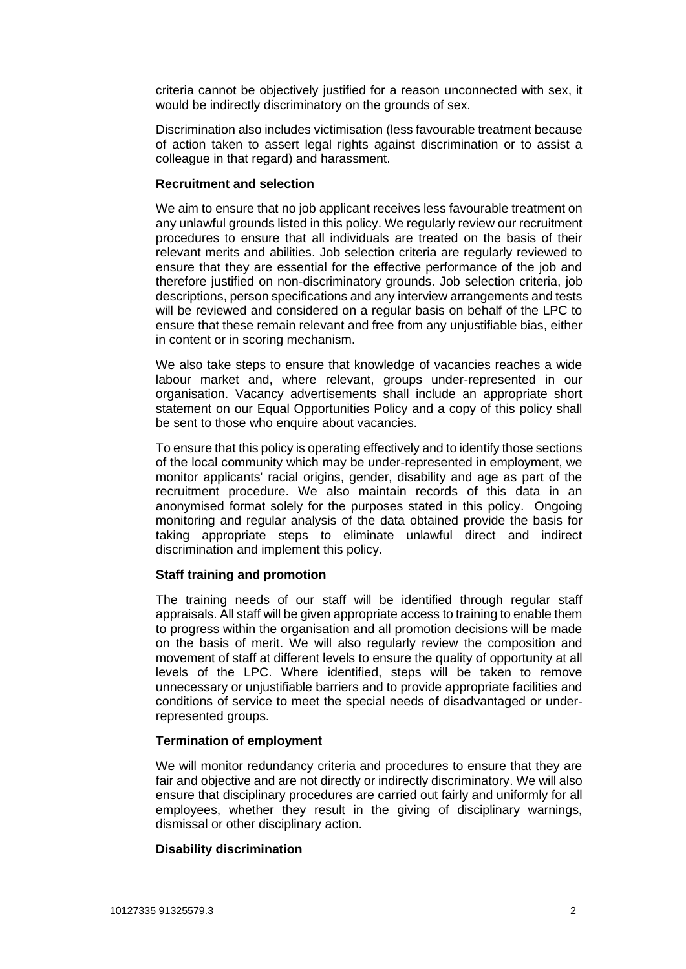criteria cannot be objectively justified for a reason unconnected with sex, it would be indirectly discriminatory on the grounds of sex.

Discrimination also includes victimisation (less favourable treatment because of action taken to assert legal rights against discrimination or to assist a colleague in that regard) and harassment.

### **Recruitment and selection**

We aim to ensure that no job applicant receives less favourable treatment on any unlawful grounds listed in this policy. We regularly review our recruitment procedures to ensure that all individuals are treated on the basis of their relevant merits and abilities. Job selection criteria are regularly reviewed to ensure that they are essential for the effective performance of the job and therefore justified on non-discriminatory grounds. Job selection criteria, job descriptions, person specifications and any interview arrangements and tests will be reviewed and considered on a regular basis on behalf of the LPC to ensure that these remain relevant and free from any unjustifiable bias, either in content or in scoring mechanism.

We also take steps to ensure that knowledge of vacancies reaches a wide labour market and, where relevant, groups under-represented in our organisation. Vacancy advertisements shall include an appropriate short statement on our Equal Opportunities Policy and a copy of this policy shall be sent to those who enquire about vacancies.

To ensure that this policy is operating effectively and to identify those sections of the local community which may be under-represented in employment, we monitor applicants' racial origins, gender, disability and age as part of the recruitment procedure. We also maintain records of this data in an anonymised format solely for the purposes stated in this policy. Ongoing monitoring and regular analysis of the data obtained provide the basis for taking appropriate steps to eliminate unlawful direct and indirect discrimination and implement this policy.

# **Staff training and promotion**

The training needs of our staff will be identified through regular staff appraisals. All staff will be given appropriate access to training to enable them to progress within the organisation and all promotion decisions will be made on the basis of merit. We will also regularly review the composition and movement of staff at different levels to ensure the quality of opportunity at all levels of the LPC. Where identified, steps will be taken to remove unnecessary or unjustifiable barriers and to provide appropriate facilities and conditions of service to meet the special needs of disadvantaged or underrepresented groups.

#### **Termination of employment**

We will monitor redundancy criteria and procedures to ensure that they are fair and objective and are not directly or indirectly discriminatory. We will also ensure that disciplinary procedures are carried out fairly and uniformly for all employees, whether they result in the giving of disciplinary warnings, dismissal or other disciplinary action.

#### **Disability discrimination**